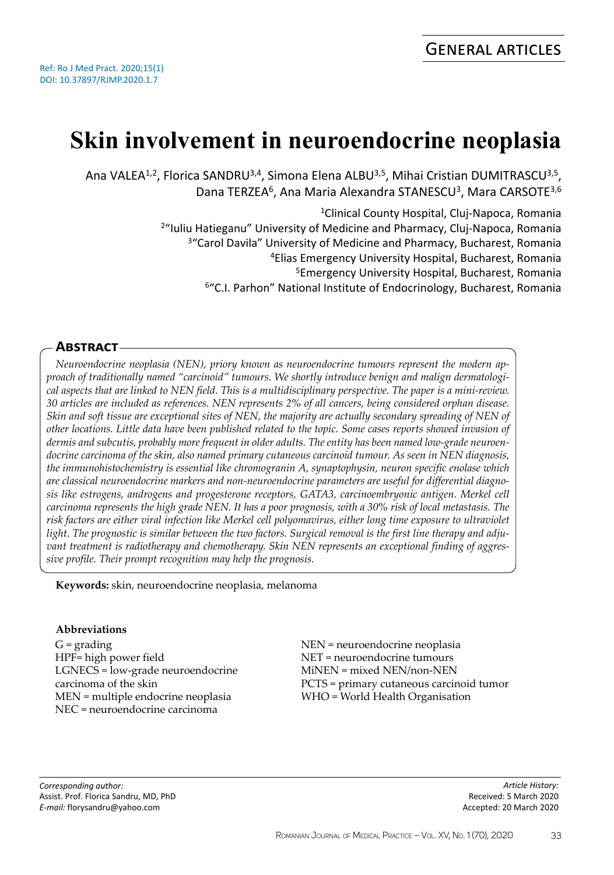# **Skin involvement in neuroendocrine neoplasia**

Ana VALEA<sup>1,2</sup>, Florica SANDRU<sup>3,4</sup>, Simona Elena ALBU<sup>3,5</sup>, Mihai Cristian DUMITRASCU<sup>3,5</sup>, Dana TERZEA<sup>6</sup>, Ana Maria Alexandra STANESCU<sup>3</sup>, Mara CARSOTE<sup>3,6</sup>

> <sup>1</sup>Clinical County Hospital, Cluj-Napoca, Romania "Iuliu Hatieganu" University of Medicine and Pharmacy, Cluj-Napoca, Romania <sup>3</sup> "Carol Davila" University of Medicine and Pharmacy, Bucharest, Romania Elias Emergency University Hospital, Bucharest, Romania Emergency University Hospital, Bucharest, Romania "C.I. Parhon" National Institute of Endocrinology, Bucharest, Romania

## **Abstract**

*Neuroendocrine neoplasia (NEN), priory known as neuroendocrine tumours represent the modern approach of traditionally named "carcinoid" tumours. We shortly introduce benign and malign dermatological aspects that are linked to NEN field. This is a multidisciplinary perspective. The paper is a mini-review. 30 articles are included as references. NEN represents 2% of all cancers, being considered orphan disease. Skin and soft tissue are exceptional sites of NEN, the majority are actually secondary spreading of NEN of other locations. Little data have been published related to the topic. Some cases reports showed invasion of dermis and subcutis, probably more frequent in older adults. The entity has been named low-grade neuroendocrine carcinoma of the skin, also named primary cutaneous carcinoid tumour. As seen in NEN diagnosis, the immunohistochemistry is essential like chromogranin A, synaptophysin, neuron specific enolase which are classical neuroendocrine markers and non-neuroendocrine parameters are useful for differential diagnosis like estrogens, androgens and progesterone receptors, GATA3, carcinoembryonic antigen. Merkel cell carcinoma represents the high grade NEN. It has a poor prognosis, with a 30% risk of local metastasis. The risk factors are either viral infection like Merkel cell polyomavirus, either long time exposure to ultraviolet light. The prognostic is similar between the two factors. Surgical removal is the first line therapy and adjuvant treatment is radiotherapy and chemotherapy. Skin NEN represents an exceptional finding of aggressive profile. Their prompt recognition may help the prognosis.*

**Keywords:** skin, neuroendocrine neoplasia, melanoma

## **Abbreviations**

 $G =$  grading HPF= high power field LGNECS = low-grade neuroendocrine carcinoma of the skin MEN = multiple endocrine neoplasia NEC = neuroendocrine carcinoma

NEN = neuroendocrine neoplasia NET = neuroendocrine tumours MiNEN = mixed NEN/non-NEN PCTS = primary cutaneous carcinoid tumor WHO = World Health Organisation

*Corresponding author:* Assist. Prof. Florica Sandru, MD, PhD *E-mail:* florysandru@yahoo.com

*Article History:* Received: 5 March 2020 Accepted: 20 March 2020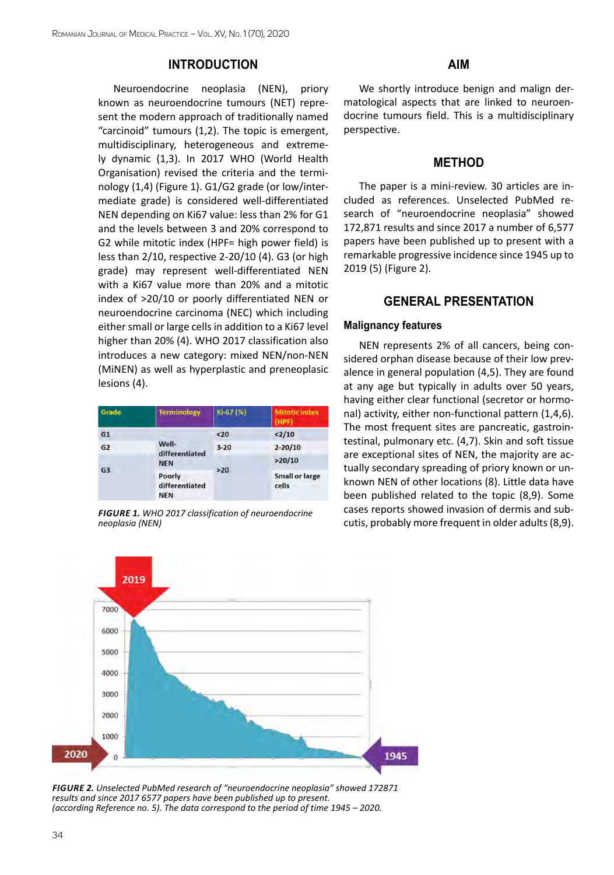## **INTRODUCTION**

Neuroendocrine neoplasia (NEN), priory known as neuroendocrine tumours (NET) represent the modern approach of traditionally named "carcinoid" tumours (1,2). The topic is emergent, multidisciplinary, heterogeneous and extremely dynamic (1,3). In 2017 WHO (World Health Organisation) revised the criteria and the terminology (1,4) (Figure 1). G1/G2 grade (or low/intermediate grade) is considered well-differentiated NEN depending on Ki67 value: less than 2% for G1 and the levels between 3 and 20% correspond to G2 while mitotic index (HPF= high power field) is less than 2/10, respective 2-20/10 (4). G3 (or high grade) may represent well-differentiated NEN with a Ki67 value more than 20% and a mitotic index of >20/10 or poorly differentiated NEN or neuroendocrine carcinoma (NEC) which including either small or large cells in addition to a Ki67 level higher than 20% (4). WHO 2017 classification also introduces a new category: mixed NEN/non-NEN (MiNEN) as well as hyperplastic and preneoplasic lesions (4).

| Grade          | Terminology                                                                     | Ki-67 (%)         | <b>Mitotic index</b><br>(HPF)  |
|----------------|---------------------------------------------------------------------------------|-------------------|--------------------------------|
| G <sub>1</sub> | Well-<br>differentiated<br><b>NEN</b><br>Poorly<br>differentiated<br><b>NEN</b> | 20                | 2/10                           |
| G2             |                                                                                 | $3 - 20$<br>$>20$ | $2 - 20/10$<br>>20/10          |
| G <sub>3</sub> |                                                                                 |                   | <b>Small or large</b><br>cells |

*Figure 1. WHO 2017 classification of neuroendocrine neoplasia (NEN)* 

## **AIM**

We shortly introduce benign and malign dermatological aspects that are linked to neuroendocrine tumours field. This is a multidisciplinary perspective.

## **METHOD**

The paper is a mini-review. 30 articles are included as references. Unselected PubMed research of "neuroendocrine neoplasia" showed 172,871 results and since 2017 a number of 6,577 papers have been published up to present with a remarkable progressive incidence since 1945 up to 2019 (5) (Figure 2).

## **GENERAL PRESENTATION**

#### **Malignancy features**

NEN represents 2% of all cancers, being considered orphan disease because of their low prevalence in general population (4,5). They are found at any age but typically in adults over 50 years, having either clear functional (secretor or hormonal) activity, either non-functional pattern (1,4,6). The most frequent sites are pancreatic, gastrointestinal, pulmonary etc. (4,7). Skin and soft tissue are exceptional sites of NEN, the majority are actually secondary spreading of priory known or unknown NEN of other locations (8). Little data have been published related to the topic (8,9). Some cases reports showed invasion of dermis and subcutis, probably more frequent in older adults (8,9).



*Figure 2. Unselected PubMed research of "neuroendocrine neoplasia" showed 172871 results and since 2017 6577 papers have been published up to present. (according Reference no. 5). The data correspond to the period of time 1945 – 2020.*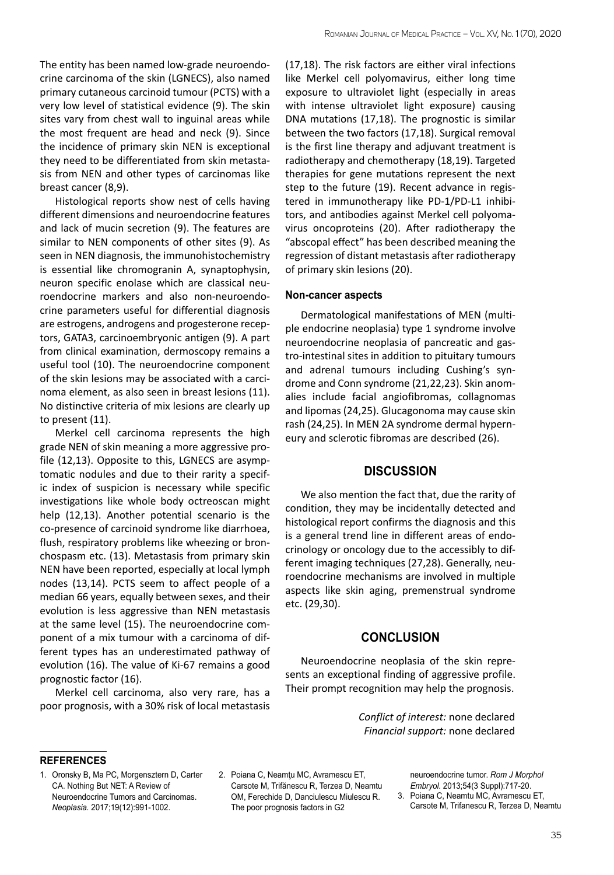The entity has been named low-grade neuroendocrine carcinoma of the skin (LGNECS), also named primary cutaneous carcinoid tumour (PCTS) with a very low level of statistical evidence (9). The skin sites vary from chest wall to inguinal areas while the most frequent are head and neck (9). Since the incidence of primary skin NEN is exceptional they need to be differentiated from skin metastasis from NEN and other types of carcinomas like breast cancer (8,9).

Histological reports show nest of cells having different dimensions and neuroendocrine features and lack of mucin secretion (9). The features are similar to NEN components of other sites (9). As seen in NEN diagnosis, the immunohistochemistry is essential like chromogranin A, synaptophysin, neuron specific enolase which are classical neuroendocrine markers and also non-neuroendocrine parameters useful for differential diagnosis are estrogens, androgens and progesterone receptors, GATA3, carcinoembryonic antigen (9). A part from clinical examination, dermoscopy remains a useful tool (10). The neuroendocrine component of the skin lesions may be associated with a carcinoma element, as also seen in breast lesions (11). No distinctive criteria of mix lesions are clearly up to present (11).

Merkel cell carcinoma represents the high grade NEN of skin meaning a more aggressive profile (12,13). Opposite to this, LGNECS are asymptomatic nodules and due to their rarity a specific index of suspicion is necessary while specific investigations like whole body octreoscan might help (12,13). Another potential scenario is the co-presence of carcinoid syndrome like diarrhoea, flush, respiratory problems like wheezing or bronchospasm etc. (13). Metastasis from primary skin NEN have been reported, especially at local lymph nodes (13,14). PCTS seem to affect people of a median 66 years, equally between sexes, and their evolution is less aggressive than NEN metastasis at the same level (15). The neuroendocrine component of a mix tumour with a carcinoma of different types has an underestimated pathway of evolution (16). The value of Ki-67 remains a good prognostic factor (16).

Merkel cell carcinoma, also very rare, has a poor prognosis, with a 30% risk of local metastasis

(17,18). The risk factors are either viral infections like Merkel cell polyomavirus, either long time exposure to ultraviolet light (especially in areas with intense ultraviolet light exposure) causing DNA mutations (17,18). The prognostic is similar between the two factors (17,18). Surgical removal is the first line therapy and adjuvant treatment is radiotherapy and chemotherapy (18,19). Targeted therapies for gene mutations represent the next step to the future (19). Recent advance in registered in immunotherapy like PD-1/PD-L1 inhibitors, and antibodies against Merkel cell polyomavirus oncoproteins (20). After radiotherapy the "abscopal effect" has been described meaning the regression of distant metastasis after radiotherapy of primary skin lesions (20).

#### **Non-cancer aspects**

Dermatological manifestations of MEN (multiple endocrine neoplasia) type 1 syndrome involve neuroendocrine neoplasia of pancreatic and gastro-intestinal sites in addition to pituitary tumours and adrenal tumours including Cushing's syndrome and Conn syndrome (21,22,23). Skin anomalies include facial angiofibromas, collagnomas and lipomas (24,25). Glucagonoma may cause skin rash (24,25). In MEN 2A syndrome dermal hyperneury and sclerotic fibromas are described (26).

### **DISCUSSION**

We also mention the fact that, due the rarity of condition, they may be incidentally detected and histological report confirms the diagnosis and this is a general trend line in different areas of endocrinology or oncology due to the accessibly to different imaging techniques (27,28). Generally, neuroendocrine mechanisms are involved in multiple aspects like skin aging, premenstrual syndrome etc. (29,30).

## **CONCLUSION**

Neuroendocrine neoplasia of the skin represents an exceptional finding of aggressive profile. Their prompt recognition may help the prognosis.

> *Conflict of interest:* none declared *Financial support:* none declared

#### **references**

- 1. [Oronsky B,](https://www.ncbi.nlm.nih.gov/pubmed/?term=Oronsky B%5BAuthor%5D&cauthor=true&cauthor_uid=29091800) [Ma PC,](https://www.ncbi.nlm.nih.gov/pubmed/?term=Ma PC%5BAuthor%5D&cauthor=true&cauthor_uid=29091800) [Morgensztern D](https://www.ncbi.nlm.nih.gov/pubmed/?term=Morgensztern D%5BAuthor%5D&cauthor=true&cauthor_uid=29091800), [Carter](https://www.ncbi.nlm.nih.gov/pubmed/?term=Carter CA%5BAuthor%5D&cauthor=true&cauthor_uid=29091800) [CA](https://www.ncbi.nlm.nih.gov/pubmed/?term=Carter CA%5BAuthor%5D&cauthor=true&cauthor_uid=29091800). Nothing But NET: A Review of Neuroendocrine Tumors and Carcinomas. *[Neoplasia.](https://www.ncbi.nlm.nih.gov/pubmed/29091800)* 2017;19(12):991-1002.
- 2. Poiana C, [Neamţu MC](https://www.ncbi.nlm.nih.gov/pubmed/?term=Neam%C5%A3u MC%5BAuthor%5D&cauthor=true&cauthor_uid=24322017), [Avramescu ET](https://www.ncbi.nlm.nih.gov/pubmed/?term=Avramescu ET%5BAuthor%5D&cauthor=true&cauthor_uid=24322017), [Carsote M,](https://www.ncbi.nlm.nih.gov/pubmed/?term=Car%C5%9Fote M%5BAuthor%5D&cauthor=true&cauthor_uid=24322017) [Trifănescu R](https://www.ncbi.nlm.nih.gov/pubmed/?term=Trif%C4%83nescu R%5BAuthor%5D&cauthor=true&cauthor_uid=24322017), [Terzea D,](https://www.ncbi.nlm.nih.gov/pubmed/?term=Terzea D%5BAuthor%5D&cauthor=true&cauthor_uid=24322017) [Neamtu](https://www.ncbi.nlm.nih.gov/pubmed/?term=Neam%C5%A3u OM%5BAuthor%5D&cauthor=true&cauthor_uid=24322017) [OM](https://www.ncbi.nlm.nih.gov/pubmed/?term=Neam%C5%A3u OM%5BAuthor%5D&cauthor=true&cauthor_uid=24322017), [Ferechide D](https://www.ncbi.nlm.nih.gov/pubmed/?term=Ferechide D%5BAuthor%5D&cauthor=true&cauthor_uid=24322017), [Danciulescu Miulescu R](https://www.ncbi.nlm.nih.gov/pubmed/?term=D%C4%83nciulescu Miulescu R%5BAuthor%5D&cauthor=true&cauthor_uid=24322017). The poor prognosis factors in G2

neuroendocrine tumor. *[Rom J Morphol](https://www.ncbi.nlm.nih.gov/pubmed/24322017)* 

*[Embryol.](https://www.ncbi.nlm.nih.gov/pubmed/24322017)* 2013;54(3 Suppl):717-20. 3. [Poiana C,](https://www.ncbi.nlm.nih.gov/pubmed/?term=Poian%C4%83 C%5BAuthor%5D&cauthor=true&cauthor_uid=23529331) [Neamtu MC,](https://www.ncbi.nlm.nih.gov/pubmed/?term=Neam%C5%A3u MC%5BAuthor%5D&cauthor=true&cauthor_uid=23529331) [Avramescu ET,](https://www.ncbi.nlm.nih.gov/pubmed/?term=Avramescu ET%5BAuthor%5D&cauthor=true&cauthor_uid=23529331) [Carsote M](https://www.ncbi.nlm.nih.gov/pubmed/?term=Car%C5%9Fote M%5BAuthor%5D&cauthor=true&cauthor_uid=23529331), [Trifanescu R,](https://www.ncbi.nlm.nih.gov/pubmed/?term=Trif%C4%83nescu R%5BAuthor%5D&cauthor=true&cauthor_uid=23529331) [Terzea D](https://www.ncbi.nlm.nih.gov/pubmed/?term=Terzea D%5BAuthor%5D&cauthor=true&cauthor_uid=23529331), [Neamtu](https://www.ncbi.nlm.nih.gov/pubmed/?term=Neam%C5%A3u OM%5BAuthor%5D&cauthor=true&cauthor_uid=23529331)